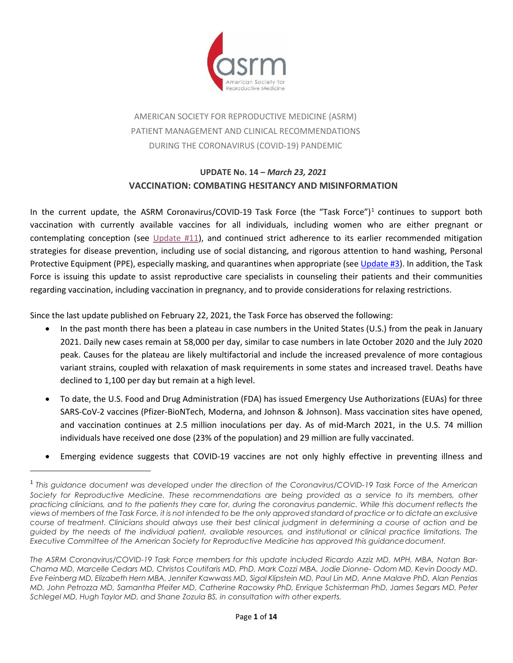

# AMERICAN SOCIETY FOR REPRODUCTIVE MEDICINE (ASRM) PATIENT MANAGEMENT AND CLINICAL RECOMMENDATIONS DURING THE CORONAVIRUS (COVID-19) PANDEMIC

# **UPDATE No. 14 –** *March 23, 2021* **VACCINATION: COMBATING HESITANCY AND MISINFORMATION**

In the current update, the ASRM Coronavirus/COVID-[1](#page-0-0)9 Task Force (the "Task Force")<sup>1</sup> continues to support both vaccination with currently available vaccines for all individuals, including women who are either pregnant or contemplating conception (see [Update #11\)](https://www.asrm.org/globalassets/asrm/asrm-content/news-and-publications/covid-19/covidtaskforceupdate11.pdf), and continued strict adherence to its earlier recommended mitigation strategies for disease prevention, including use of social distancing, and rigorous attention to hand washing, Personal Protective Equipment (PPE), especially masking, and quarantines when appropriate (se[e Update #3\)](https://www.asrm.org/globalassets/asrm/asrm-content/news-and-publications/covid-19/covidtaskforceupdate3.pdf). In addition, the Task Force is issuing this update to assist reproductive care specialists in counseling their patients and their communities regarding vaccination, including vaccination in pregnancy, and to provide considerations for relaxing restrictions.

Since the last update published on February 22, 2021, the Task Force has observed the following:

- In the past month there has been a plateau in case numbers in the United States (U.S.) from the peak in January 2021. Daily new cases remain at 58,000 per day, similar to case numbers in late October 2020 and the July 2020 peak. Causes for the plateau are likely multifactorial and include the increased prevalence of more contagious variant strains, coupled with relaxation of mask requirements in some states and increased travel. Deaths have declined to 1,100 per day but remain at a high level.
- To date, the U.S. Food and Drug Administration (FDA) has issued Emergency Use Authorizations (EUAs) for three SARS-CoV-2 vaccines (Pfizer-BioNTech, Moderna, and Johnson & Johnson). Mass vaccination sites have opened, and vaccination continues at 2.5 million inoculations per day. As of mid-March 2021, in the U.S. 74 million individuals have received one dose (23% of the population) and 29 million are fully vaccinated.
- Emerging evidence suggests that COVID-19 vaccines are not only highly effective in preventing illness and

<span id="page-0-0"></span><sup>1</sup> *This guidance document was developed under the direction of the Coronavirus/COVID-19 Task Force of the American Society for Reproductive Medicine. These recommendations are being provided as a service to its members, other practicing clinicians, and to the patients they care for, during the coronavirus pandemic. While this document reflects the views of members of the Task Force, it is not intended to be the only approved standard of practice or to dictate an exclusive course of treatment. Clinicians should always use their best clinical judgment in determining a course of action and be guided by the needs of the individual patient, available resources, and institutional or clinical practice limitations. The Executive Committee of the American Society for Reproductive Medicine has approved this guidancedocument.*

*The ASRM Coronavirus/COVID-19 Task Force members for this update included Ricardo Azziz MD, MPH, MBA, Natan Bar-Chama MD, Marcelle Cedars MD, Christos Coutifaris MD, PhD, Mark Cozzi MBA, Jodie Dionne- Odom MD, Kevin Doody MD, Eve Feinberg MD, Elizabeth Hern MBA, Jennifer Kawwass MD, Sigal Klipstein MD, Paul Lin MD, Anne Malave PhD, Alan Penzias MD, John Petrozza MD, Samantha Pfeifer MD, Catherine Racowsky PhD, Enrique Schisterman PhD, James Segars MD, Peter Schlegel MD, Hugh Taylor MD, and Shane Zozula BS, in consultation with other experts.*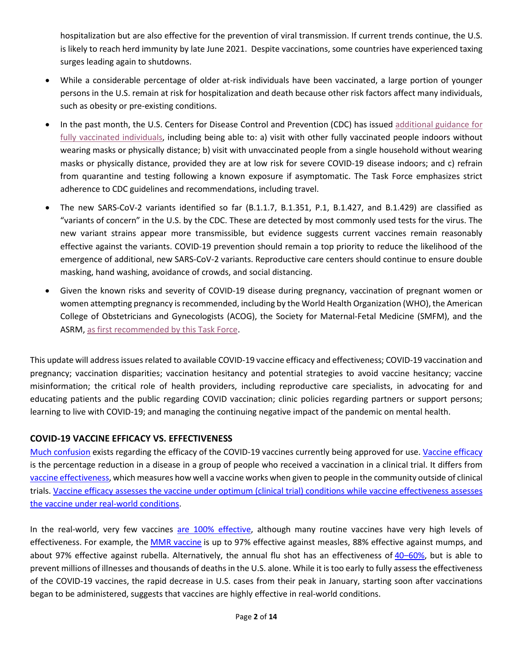hospitalization but are also effective for the prevention of viral transmission. If current trends continue, the U.S. is likely to reach herd immunity by late June 2021. Despite vaccinations, some countries have experienced taxing surges leading again to shutdowns.

- While a considerable percentage of older at-risk individuals have been vaccinated, a large portion of younger persons in the U.S. remain at risk for hospitalization and death because other risk factors affect many individuals, such as obesity or pre-existing conditions.
- In the past month, the U.S. Centers for Disease Control and Prevention (CDC) has issued additional guidance for [fully vaccinated individuals,](https://www.cdc.gov/coronavirus/2019-ncov/vaccines/fully-vaccinated-guidance.html#:%7E:text=Fully%20vaccinated%20people%20can%3A,wearing%20masks%20or%20physical%20distancing) including being able to: a) visit with other fully vaccinated people indoors without wearing masks or physically distance; b) visit with unvaccinated people from a single household without wearing masks or physically distance, provided they are at low risk for severe COVID-19 disease indoors; and c) refrain from quarantine and testing following a known exposure if asymptomatic. The Task Force emphasizes strict adherence to CDC guidelines and recommendations, including travel.
- The new SARS-CoV-2 variants identified so far (B.1.1.7, B.1.351, P.1, B.1.427, and B.1.429) are classified as "variants of concern" in the U.S. by the CDC. These are detected by most commonly used tests for the virus. The new variant strains appear more transmissible, but evidence suggests current vaccines remain reasonably effective against the variants. COVID-19 prevention should remain a top priority to reduce the likelihood of the emergence of additional, new SARS-CoV-2 variants. Reproductive care centers should continue to ensure double masking, hand washing, avoidance of crowds, and social distancing.
- Given the known risks and severity of COVID-19 disease during pregnancy, vaccination of pregnant women or women attempting pregnancy is recommended, including by the World Health Organization (WHO), the American College of Obstetricians and Gynecologists (ACOG), the Society for Maternal-Fetal Medicine (SMFM), and the ASRM, [as first recommended by this Task Force.](https://www.asrm.org/globalassets/asrm/asrm-content/news-and-publications/covid-19/covidtaskforceupdate11.pdf)

This update will address issues related to available COVID-19 vaccine efficacy and effectiveness; COVID-19 vaccination and pregnancy; vaccination disparities; vaccination hesitancy and potential strategies to avoid vaccine hesitancy; vaccine misinformation; the critical role of health providers, including reproductive care specialists, in advocating for and educating patients and the public regarding COVID vaccination; clinic policies regarding partners or support persons; learning to live with COVID-19; and managing the continuing negative impact of the pandemic on mental health.

# **COVID-19 VACCINE EFFICACY VS. EFFECTIVENESS**

[Much confusion](https://www.nytimes.com/interactive/2021/03/03/science/vaccine-efficacy-coronavirus.html) exists regarding the efficacy of the COVID-19 vaccines currently being approved for use[. Vaccine efficacy](https://www.medicalnewstoday.com/articles/what-is-vaccine-efficacy) is the percentage reduction in a disease in a group of people who received a vaccination in a clinical trial. It differs from [vaccine effectiveness,](https://www.medicalnewstoday.com/articles/what-is-vaccine-efficacy) which measures how well a vaccine works when given to people in the community outside of clinical trials. [Vaccine efficacy assesses the vaccine under optimum \(clinical trial\) conditions while vaccine effectiveness assesses](https://www.who.int/influenza_vaccines_plan/resources/Session4_VEfficacy_VEffectiveness.PDF) [the vaccine under real-world conditions.](https://www.who.int/influenza_vaccines_plan/resources/Session4_VEfficacy_VEffectiveness.PDF)

In the real-world, very few vaccines [are 100% effective,](https://www.medicalnewstoday.com/articles/what-is-vaccine-efficacy#Why-are-efficacy-and-effectiveness-important?) although many routine vaccines have very high levels of effectiveness. For example, the [MMR vaccine](https://www.cdc.gov/vaccines/vpd/mmr/public/index.html#how-well-mmr-works) is up to 97% effective against measles, 88% effective against mumps, and about 97% effective against rubella. Alternatively, the annual flu shot has an effectiveness of [40–60%,](https://www.cdc.gov/flu/vaccines-work/vaccineeffect.htm) but is able to prevent millions of illnesses and thousands of deaths in the U.S. alone. While it is too early to fully assess the effectiveness of the COVID-19 vaccines, the rapid decrease in U.S. cases from their peak in January, starting soon after vaccinations began to be administered, suggests that vaccines are highly effective in real-world conditions.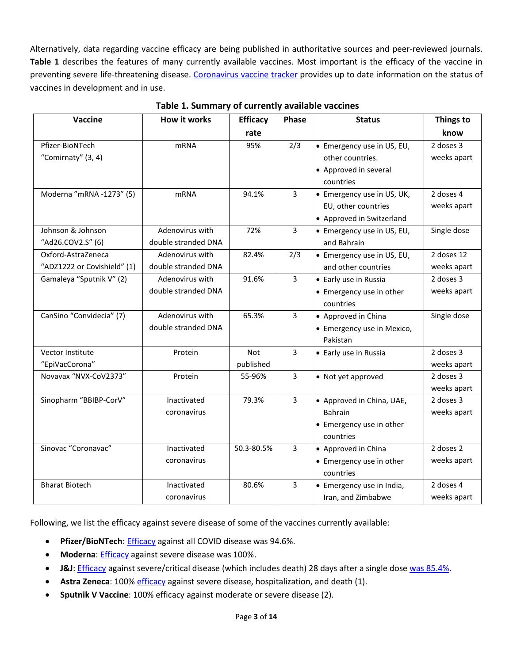Alternatively, data regarding vaccine efficacy are being published in authoritative sources and peer-reviewed journals. **Table 1** describes the features of many currently available vaccines. Most important is the efficacy of the vaccine in preventing severe life-threatening disease. [Coronavirus vaccine tracker](https://www.nytimes.com/interactive/2020/science/coronavirus-vaccine-tracker.html) provides up to date information on the status of vaccines in development and in use.

| Vaccine                     | How it works        | <b>Efficacy</b> | <b>Phase</b>   | <b>Status</b>              | Things to   |
|-----------------------------|---------------------|-----------------|----------------|----------------------------|-------------|
|                             |                     | rate            |                |                            | know        |
| Pfizer-BioNTech             | <b>mRNA</b>         | 95%             | 2/3            | • Emergency use in US, EU, | 2 doses 3   |
| "Comirnaty" (3, 4)          |                     |                 |                | other countries.           | weeks apart |
|                             |                     |                 |                | • Approved in several      |             |
|                             |                     |                 |                | countries                  |             |
| Moderna "mRNA -1273" (5)    | <b>mRNA</b>         | 94.1%           | $\overline{3}$ | • Emergency use in US, UK, | 2 doses 4   |
|                             |                     |                 |                | EU, other countries        | weeks apart |
|                             |                     |                 |                | • Approved in Switzerland  |             |
| Johnson & Johnson           | Adenovirus with     | 72%             | 3              | • Emergency use in US, EU, | Single dose |
| "Ad26.COV2.S" (6)           | double stranded DNA |                 |                | and Bahrain                |             |
| Oxford-AstraZeneca          | Adenovirus with     | 82.4%           | 2/3            | • Emergency use in US, EU, | 2 doses 12  |
| "ADZ1222 or Covishield" (1) | double stranded DNA |                 |                | and other countries        | weeks apart |
| Gamaleya "Sputnik V" (2)    | Adenovirus with     | 91.6%           | $\overline{3}$ | • Early use in Russia      | 2 doses 3   |
|                             | double stranded DNA |                 |                | • Emergency use in other   | weeks apart |
|                             |                     |                 |                | countries                  |             |
| CanSino "Convidecia" (7)    | Adenovirus with     | 65.3%           | $\overline{3}$ | • Approved in China        | Single dose |
|                             | double stranded DNA |                 |                | • Emergency use in Mexico, |             |
|                             |                     |                 |                | Pakistan                   |             |
| Vector Institute            | Protein             | Not             | $\overline{3}$ | • Early use in Russia      | 2 doses 3   |
| "EpiVacCorona"              |                     | published       |                |                            | weeks apart |
| Novavax "NVX-CoV2373"       | Protein             | 55-96%          | $\overline{3}$ | • Not yet approved         | 2 doses 3   |
|                             |                     |                 |                |                            | weeks apart |
| Sinopharm "BBIBP-CorV"      | Inactivated         | 79.3%           | $\overline{3}$ | • Approved in China, UAE,  | 2 doses 3   |
|                             | coronavirus         |                 |                | Bahrain                    | weeks apart |
|                             |                     |                 |                | • Emergency use in other   |             |
|                             |                     |                 |                | countries                  |             |
| Sinovac "Coronavac"         | Inactivated         | 50.3-80.5%      | $\overline{3}$ | • Approved in China        | 2 doses 2   |
|                             | coronavirus         |                 |                | • Emergency use in other   | weeks apart |
|                             |                     |                 |                | countries                  |             |
| <b>Bharat Biotech</b>       | Inactivated         | 80.6%           | $\overline{3}$ | • Emergency use in India,  | 2 doses 4   |
|                             | coronavirus         |                 |                | Iran, and Zimbabwe         | weeks apart |

**Table 1. Summary of currently available vaccines**

Following, we list the efficacy against severe disease of some of the vaccines currently available:

- Pfizer/BioNTech: **[Efficacy](https://www.fda.gov/media/144413/download)** against all COVID disease was 94.6%.
- **Moderna**: [Efficacy](https://www.fda.gov/media/144673/download) against severe disease was 100%.
- **J&J**: [Efficacy](https://www.janssenlabels.com/emergency-use-authorization/Janssen+COVID-19+Vaccine-HCP-fact-sheet.pdf) against severe/critical disease (which includes death) 28 days after a single dose [was 85.4%.](https://www.fda.gov/media/146217/download)
- **Astra Zeneca**: 100[% efficacy](https://www.astrazeneca.com/media-centre/press-releases/2021/covid-19-vaccine-astrazeneca-confirms-protection-against-severe-disease-hospitalisation-and-death-in-the-primary-analysis-of-phase-iii-trials.html#:%7E:text=Results%20demonstrated%20vaccine%20efficacy%20of,%3A%2063%25%2C%2092%25) against severe disease, hospitalization, and death (1).
- **Sputnik V Vaccine**: 100% efficacy against moderate or severe disease (2).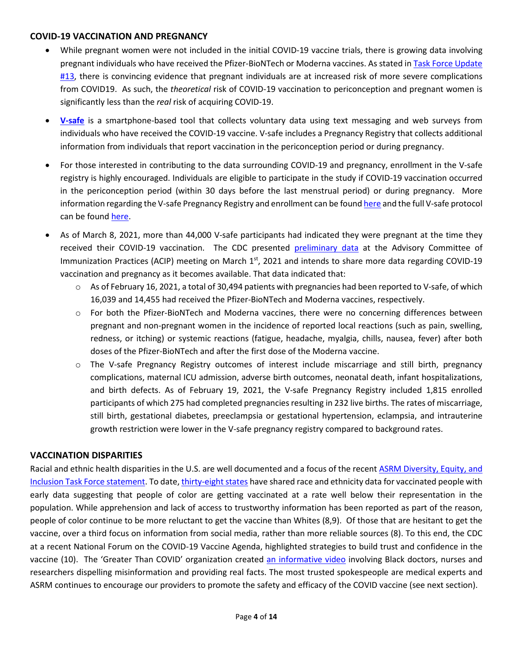### **COVID-19 VACCINATION AND PREGNANCY**

- While pregnant women were not included in the initial COVID-19 vaccine trials, there is growing data involving pregnant individuals who have received the Pfizer-BioNTech or Moderna vaccines. As stated i[n Task Force](https://www.asrm.org/globalassets/asrm/asrm-content/news-and-publications/covid-19/covidtaskforceupdate13.pdf) Update [#13,](https://www.asrm.org/globalassets/asrm/asrm-content/news-and-publications/covid-19/covidtaskforceupdate13.pdf) there is convincing evidence that pregnant individuals are at increased risk of more severe complications from COVID19. As such, the *theoretical* risk of COVID-19 vaccination to periconception and pregnant women is significantly less than the *real* risk of acquiring COVID-19.
- **[V-safe](https://www.cdc.gov/coronavirus/2019-ncov/vaccines/safety/vsafe.html)** is a smartphone-based tool that collects voluntary data using text messaging and web surveys from individuals who have received the COVID-19 vaccine. V-safe includes a Pregnancy Registry that collects additional information from individuals that report vaccination in the periconception period or during pregnancy.
- For those interested in contributing to the data surrounding COVID-19 and pregnancy, enrollment in the V-safe registry is highly encouraged. Individuals are eligible to participate in the study if COVID-19 vaccination occurred in the periconception period (within 30 days before the last menstrual period) or during pregnancy. More information regarding the V-safe Pregnancy Registry and enrollment can be foun[d here](https://www.cdc.gov/coronavirus/2019-ncov/vaccines/safety/vsafepregnancyregistry.html) and the full V-safe protocol can be found [here.](https://www.cdc.gov/vaccinesafety/pdf/vsafe-pregnancy-surveillance-protocol-508.pdf)
- As of March 8, 2021, more than 44,000 V-safe participants had indicated they were pregnant at the time they received their COVID-19 vaccination. The CDC presented **[preliminary data](https://www.cdc.gov/vaccines/acip/meetings/downloads/slides-2021-02/28-03-01/05-covid-Shimabukuro.pdf)** at the Advisory Committee of Immunization Practices (ACIP) meeting on March  $1<sup>st</sup>$ , 2021 and intends to share more data regarding COVID-19 vaccination and pregnancy as it becomes available. That data indicated that:
	- $\circ$  As of February 16, 2021, a total of 30,494 patients with pregnancies had been reported to V-safe, of which 16,039 and 14,455 had received the Pfizer-BioNTech and Moderna vaccines, respectively.
	- o For both the Pfizer-BioNTech and Moderna vaccines, there were no concerning differences between pregnant and non-pregnant women in the incidence of reported local reactions (such as pain, swelling, redness, or itching) or systemic reactions (fatigue, headache, myalgia, chills, nausea, fever) after both doses of the Pfizer-BioNTech and after the first dose of the Moderna vaccine.
	- $\circ$  The V-safe Pregnancy Registry outcomes of interest include miscarriage and still birth, pregnancy complications, maternal ICU admission, adverse birth outcomes, neonatal death, infant hospitalizations, and birth defects. As of February 19, 2021, the V-safe Pregnancy Registry included 1,815 enrolled participants of which 275 had completed pregnancies resulting in 232 live births. The rates of miscarriage, still birth, gestational diabetes, preeclampsia or gestational hypertension, eclampsia, and intrauterine growth restriction were lower in the V-safe pregnancy registry compared to background rates.

# **VACCINATION DISPARITIES**

Racial and ethnic health disparities in the U.S. are well documented and a focus of the recen[t ASRM Diversity, Equity, and](https://www.asrm.org/globalassets/asrm/asrm-content/about-us/pdfs/asrm-dei-task-force-report-11-30-2020.pdf)  [Inclusion Task Force statement.](https://www.asrm.org/globalassets/asrm/asrm-content/about-us/pdfs/asrm-dei-task-force-report-11-30-2020.pdf) To date[, thirty-eight states](https://www.nytimes.com/interactive/2021/03/05/us/vaccine-racial-disparities.html#methodology) have shared race and ethnicity data for vaccinated people with early data suggesting that people of color are getting vaccinated at a rate well below their representation in the population. While apprehension and lack of access to trustworthy information has been reported as part of the reason, people of color continue to be more reluctant to get the vaccine than Whites (8,9). Of those that are hesitant to get the vaccine, over a third focus on information from social media, rather than more reliable sources (8). To this end, the CDC at a recent National Forum on the COVID-19 Vaccine Agenda, highlighted strategies to build trust and confidence in the vaccine (10). The 'Greater Than COVID' organization created [an informative](https://www.greaterthancovid.org/theconversation/) video involving Black doctors, nurses and researchers dispelling misinformation and providing real facts. The most trusted spokespeople are medical experts and ASRM continues to encourage our providers to promote the safety and efficacy of the COVID vaccine (see next section).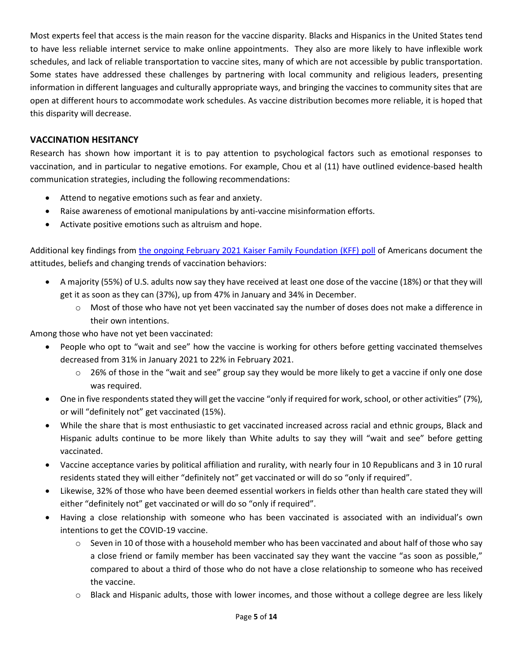Most experts feel that access is the main reason for the vaccine disparity. Blacks and Hispanics in the United States tend to have less reliable internet service to make online appointments. They also are more likely to have inflexible work schedules, and lack of reliable transportation to vaccine sites, many of which are not accessible by public transportation. Some states have addressed these challenges by partnering with local community and religious leaders, presenting information in different languages and culturally appropriate ways, and bringing the vaccines to community sites that are open at different hours to accommodate work schedules. As vaccine distribution becomes more reliable, it is hoped that this disparity will decrease.

# **VACCINATION HESITANCY**

Research has shown how important it is to pay attention to psychological factors such as emotional responses to vaccination, and in particular to negative emotions. For example, Chou et al (11) have outlined evidence-based health communication strategies, including the following recommendations:

- Attend to negative emotions such as fear and anxiety.
- Raise awareness of emotional manipulations by anti-vaccine misinformation efforts.
- Activate positive emotions such as altruism and hope.

Additional key findings from [the ongoing February 2021 Kaiser Family Foundation \(KFF\) poll](https://www.kff.org/coronavirus-covid-19/poll-finding/kff-covid-19-vaccine-monitor-february-2021/) of Americans document the attitudes, beliefs and changing trends of vaccination behaviors:

- A majority (55%) of U.S. adults now say they have received at least one dose of the vaccine (18%) or that they will get it as soon as they can (37%), up from 47% in January and 34% in December.
	- o Most of those who have not yet been vaccinated say the number of doses does not make a difference in their own intentions.

Among those who have not yet been vaccinated:

- People who opt to "wait and see" how the vaccine is working for others before getting vaccinated themselves decreased from 31% in January 2021 to 22% in February 2021.
	- $\circ$  26% of those in the "wait and see" group say they would be more likely to get a vaccine if only one dose was required.
- One in five respondents stated they will get the vaccine "only if required for work, school, or other activities" (7%), or will "definitely not" get vaccinated (15%).
- While the share that is most enthusiastic to get vaccinated increased across racial and ethnic groups, Black and Hispanic adults continue to be more likely than White adults to say they will "wait and see" before getting vaccinated.
- Vaccine acceptance varies by political affiliation and rurality, with nearly four in 10 Republicans and 3 in 10 rural residents stated they will either "definitely not" get vaccinated or will do so "only if required".
- Likewise, 32% of those who have been deemed essential workers in fields other than health care stated they will either "definitely not" get vaccinated or will do so "only if required".
- Having a close relationship with someone who has been vaccinated is associated with an individual's own intentions to get the COVID-19 vaccine.
	- $\circ$  Seven in 10 of those with a household member who has been vaccinated and about half of those who say a close friend or family member has been vaccinated say they want the vaccine "as soon as possible," compared to about a third of those who do not have a close relationship to someone who has received the vaccine.
	- $\circ$  Black and Hispanic adults, those with lower incomes, and those without a college degree are less likely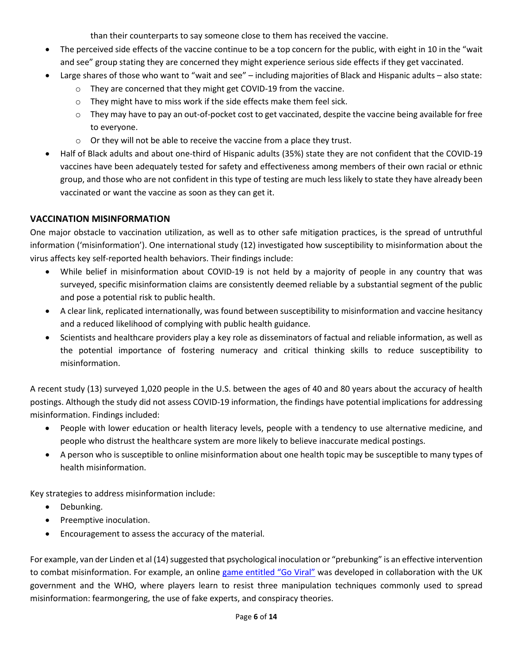than their counterparts to say someone close to them has received the vaccine.

- The perceived side effects of the vaccine continue to be a top concern for the public, with eight in 10 in the "wait and see" group stating they are concerned they might experience serious side effects if they get vaccinated.
- Large shares of those who want to "wait and see" including majorities of Black and Hispanic adults also state:
	- o They are concerned that they might get COVID-19 from the vaccine.
	- o They might have to miss work if the side effects make them feel sick.
	- $\circ$  They may have to pay an out-of-pocket cost to get vaccinated, despite the vaccine being available for free to everyone.
	- o Or they will not be able to receive the vaccine from a place they trust.
- Half of Black adults and about one-third of Hispanic adults (35%) state they are not confident that the COVID-19 vaccines have been adequately tested for safety and effectiveness among members of their own racial or ethnic group, and those who are not confident in this type of testing are much less likely to state they have already been vaccinated or want the vaccine as soon as they can get it.

### **VACCINATION MISINFORMATION**

One major obstacle to vaccination utilization, as well as to other safe mitigation practices, is the spread of untruthful information ('misinformation'). One international study (12) investigated how susceptibility to misinformation about the virus affects key self-reported health behaviors. Their findings include:

- While belief in misinformation about COVID-19 is not held by a majority of people in any country that was surveyed, specific misinformation claims are consistently deemed reliable by a substantial segment of the public and pose a potential risk to public health.
- A clear link, replicated internationally, was found between susceptibility to misinformation and vaccine hesitancy and a reduced likelihood of complying with public health guidance.
- Scientists and healthcare providers play a key role as disseminators of factual and reliable information, as well as the potential importance of fostering numeracy and critical thinking skills to reduce susceptibility to misinformation.

A recent study (13) surveyed 1,020 people in the U.S. between the ages of 40 and 80 years about the accuracy of health postings. Although the study did not assess COVID-19 information, the findings have potential implications for addressing misinformation. Findings included:

- People with lower education or health literacy levels, people with a tendency to use alternative medicine, and people who distrust the healthcare system are more likely to believe inaccurate medical postings.
- A person who is susceptible to online misinformation about one health topic may be susceptible to many types of health misinformation.

Key strategies to address misinformation include:

- Debunking.
- Preemptive inoculation.
- Encouragement to assess the accuracy of the material.

For example, van der Linden et al (14) suggested that psychological inoculation or "prebunking" is an effective intervention to combat misinformation. For example, an online [game entitled "Go Viral"](http://www.goviralgame.com/) was developed in collaboration with the UK government and the WHO, where players learn to resist three manipulation techniques commonly used to spread misinformation: fearmongering, the use of fake experts, and conspiracy theories.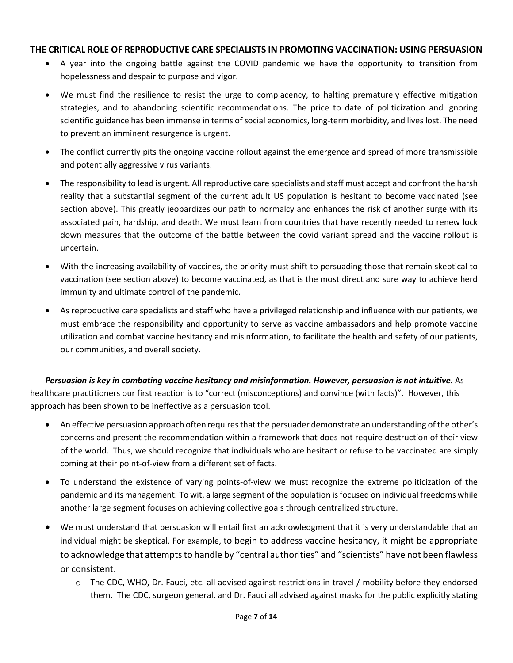#### **THE CRITICAL ROLE OF REPRODUCTIVE CARE SPECIALISTS IN PROMOTING VACCINATION: USING PERSUASION**

- A year into the ongoing battle against the COVID pandemic we have the opportunity to transition from hopelessness and despair to purpose and vigor.
- We must find the resilience to resist the urge to complacency, to halting prematurely effective mitigation strategies, and to abandoning scientific recommendations. The price to date of politicization and ignoring scientific guidance has been immense in terms of social economics, long-term morbidity, and lives lost. The need to prevent an imminent resurgence is urgent.
- The conflict currently pits the ongoing vaccine rollout against the emergence and spread of more transmissible and potentially aggressive virus variants.
- The responsibility to lead is urgent. All reproductive care specialists and staff must accept and confront the harsh reality that a substantial segment of the current adult US population is hesitant to become vaccinated (see section above). This greatly jeopardizes our path to normalcy and enhances the risk of another surge with its associated pain, hardship, and death. We must learn from countries that have recently needed to renew lock down measures that the outcome of the battle between the covid variant spread and the vaccine rollout is uncertain.
- With the increasing availability of vaccines, the priority must shift to persuading those that remain skeptical to vaccination (see section above) to become vaccinated, as that is the most direct and sure way to achieve herd immunity and ultimate control of the pandemic.
- As reproductive care specialists and staff who have a privileged relationship and influence with our patients, we must embrace the responsibility and opportunity to serve as vaccine ambassadors and help promote vaccine utilization and combat vaccine hesitancy and misinformation, to facilitate the health and safety of our patients, our communities, and overall society.

*Persuasion is key in combating vaccine hesitancy and misinformation. However, persuasion is not intuitive***.** As healthcare practitioners our first reaction is to "correct (misconceptions) and convince (with facts)". However, this approach has been shown to be ineffective as a persuasion tool.

- An effective persuasion approach often requires that the persuader demonstrate an understanding of the other's concerns and present the recommendation within a framework that does not require destruction of their view of the world. Thus, we should recognize that individuals who are hesitant or refuse to be vaccinated are simply coming at their point-of-view from a different set of facts.
- To understand the existence of varying points-of-view we must recognize the extreme politicization of the pandemic and its management. To wit, a large segment of the population is focused on individual freedoms while another large segment focuses on achieving collective goals through centralized structure.
- We must understand that persuasion will entail first an acknowledgment that it is very understandable that an individual might be skeptical. For example, to begin to address vaccine hesitancy, it might be appropriate to acknowledge that attempts to handle by "central authorities" and "scientists" have not been flawless or consistent.
	- o The CDC, WHO, Dr. Fauci, etc. all advised against restrictions in travel / mobility before they endorsed them. The CDC, surgeon general, and Dr. Fauci all advised against masks for the public explicitly stating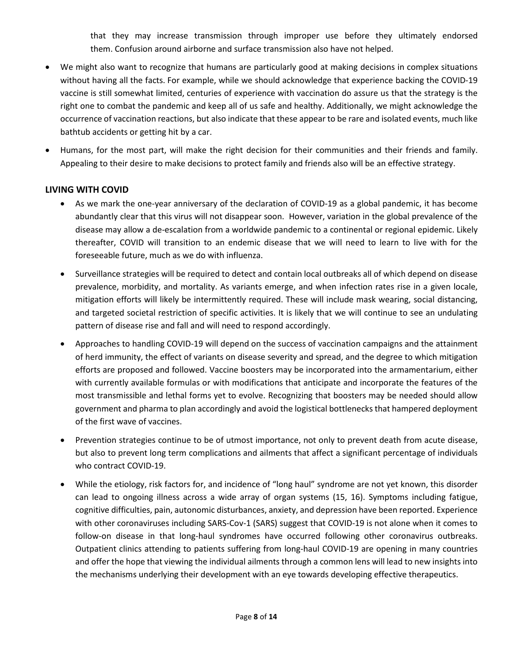that they may increase transmission through improper use before they ultimately endorsed them. Confusion around airborne and surface transmission also have not helped.

- We might also want to recognize that humans are particularly good at making decisions in complex situations without having all the facts. For example, while we should acknowledge that experience backing the COVID-19 vaccine is still somewhat limited, centuries of experience with vaccination do assure us that the strategy is the right one to combat the pandemic and keep all of us safe and healthy. Additionally, we might acknowledge the occurrence of vaccination reactions, but also indicate that these appear to be rare and isolated events, much like bathtub accidents or getting hit by a car.
- Humans, for the most part, will make the right decision for their communities and their friends and family. Appealing to their desire to make decisions to protect family and friends also will be an effective strategy.

### **LIVING WITH COVID**

- As we mark the one-year anniversary of the declaration of COVID-19 as a global pandemic, it has become abundantly clear that this virus will not disappear soon. However, variation in the global prevalence of the disease may allow a de-escalation from a worldwide pandemic to a continental or regional epidemic. Likely thereafter, COVID will transition to an endemic disease that we will need to learn to live with for the foreseeable future, much as we do with influenza.
- Surveillance strategies will be required to detect and contain local outbreaks all of which depend on disease prevalence, morbidity, and mortality. As variants emerge, and when infection rates rise in a given locale, mitigation efforts will likely be intermittently required. These will include mask wearing, social distancing, and targeted societal restriction of specific activities. It is likely that we will continue to see an undulating pattern of disease rise and fall and will need to respond accordingly.
- Approaches to handling COVID-19 will depend on the success of vaccination campaigns and the attainment of herd immunity, the effect of variants on disease severity and spread, and the degree to which mitigation efforts are proposed and followed. Vaccine boosters may be incorporated into the armamentarium, either with currently available formulas or with modifications that anticipate and incorporate the features of the most transmissible and lethal forms yet to evolve. Recognizing that boosters may be needed should allow government and pharma to plan accordingly and avoid the logistical bottlenecks that hampered deployment of the first wave of vaccines.
- Prevention strategies continue to be of utmost importance, not only to prevent death from acute disease, but also to prevent long term complications and ailments that affect a significant percentage of individuals who contract COVID-19.
- While the etiology, risk factors for, and incidence of "long haul" syndrome are not yet known, this disorder can lead to ongoing illness across a wide array of organ systems (15, 16). Symptoms including fatigue, cognitive difficulties, pain, autonomic disturbances, anxiety, and depression have been reported. Experience with other coronaviruses including SARS-Cov-1 (SARS) suggest that COVID-19 is not alone when it comes to follow-on disease in that long-haul syndromes have occurred following other coronavirus outbreaks. Outpatient clinics attending to patients suffering from long-haul COVID-19 are opening in many countries and offer the hope that viewing the individual ailments through a common lens will lead to new insights into the mechanisms underlying their development with an eye towards developing effective therapeutics.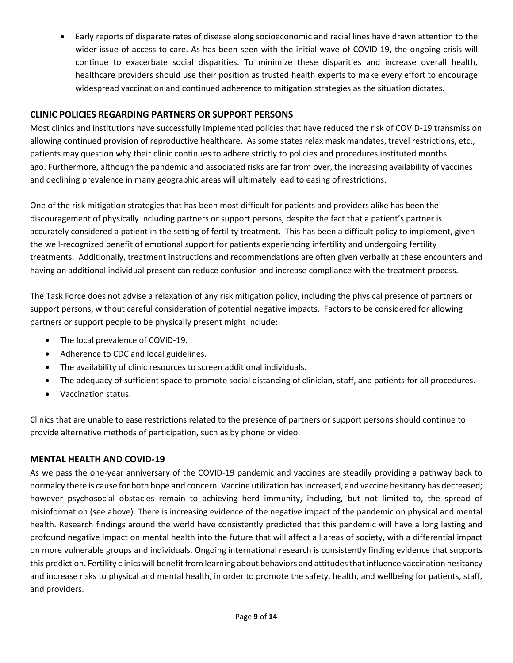• Early reports of disparate rates of disease along socioeconomic and racial lines have drawn attention to the wider issue of access to care. As has been seen with the initial wave of COVID-19, the ongoing crisis will continue to exacerbate social disparities. To minimize these disparities and increase overall health, healthcare providers should use their position as trusted health experts to make every effort to encourage widespread vaccination and continued adherence to mitigation strategies as the situation dictates.

# **CLINIC POLICIES REGARDING PARTNERS OR SUPPORT PERSONS**

Most clinics and institutions have successfully implemented policies that have reduced the risk of COVID-19 transmission allowing continued provision of reproductive healthcare. As some states relax mask mandates, travel restrictions, etc., patients may question why their clinic continues to adhere strictly to policies and procedures instituted months ago. Furthermore, although the pandemic and associated risks are far from over, the increasing availability of vaccines and declining prevalence in many geographic areas will ultimately lead to easing of restrictions.

One of the risk mitigation strategies that has been most difficult for patients and providers alike has been the discouragement of physically including partners or support persons, despite the fact that a patient's partner is accurately considered a patient in the setting of fertility treatment. This has been a difficult policy to implement, given the well-recognized benefit of emotional support for patients experiencing infertility and undergoing fertility treatments. Additionally, treatment instructions and recommendations are often given verbally at these encounters and having an additional individual present can reduce confusion and increase compliance with the treatment process.

The Task Force does not advise a relaxation of any risk mitigation policy, including the physical presence of partners or support persons, without careful consideration of potential negative impacts. Factors to be considered for allowing partners or support people to be physically present might include:

- The local prevalence of COVID-19.
- Adherence to CDC and local guidelines.
- The availability of clinic resources to screen additional individuals.
- The adequacy of sufficient space to promote social distancing of clinician, staff, and patients for all procedures.
- Vaccination status.

Clinics that are unable to ease restrictions related to the presence of partners or support persons should continue to provide alternative methods of participation, such as by phone or video.

# **MENTAL HEALTH AND COVID-19**

As we pass the one-year anniversary of the COVID-19 pandemic and vaccines are steadily providing a pathway back to normalcy there is cause for both hope and concern. Vaccine utilization has increased, and vaccine hesitancy has decreased; however psychosocial obstacles remain to achieving herd immunity, including, but not limited to, the spread of misinformation (see above). There is increasing evidence of the negative impact of the pandemic on physical and mental health. Research findings around the world have consistently predicted that this pandemic will have a long lasting and profound negative impact on mental health into the future that will affect all areas of society, with a differential impact on more vulnerable groups and individuals. Ongoing international research is consistently finding evidence that supports this prediction. Fertility clinics will benefit from learning about behaviors and attitudes that influence vaccination hesitancy and increase risks to physical and mental health, in order to promote the safety, health, and wellbeing for patients, staff, and providers.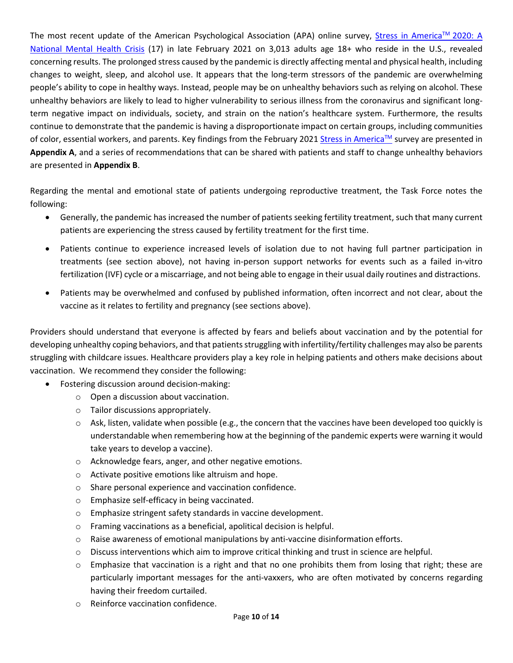The most recent update of the American Psychological Association (APA) online survey, Stress in America™ 2020: A [National Mental Health Crisis](https://www.apa.org/news/press/releases/stress/2020/report-october) (17) in late February 2021 on 3,013 adults age 18+ who reside in the U.S., revealed concerning results. The prolonged stress caused by the pandemic is directly affecting mental and physical health, including changes to weight, sleep, and alcohol use. It appears that the long-term stressors of the pandemic are overwhelming people's ability to cope in healthy ways. Instead, people may be on unhealthy behaviors such as relying on alcohol. These unhealthy behaviors are likely to lead to higher vulnerability to serious illness from the coronavirus and significant longterm negative impact on individuals, society, and strain on the nation's healthcare system. Furthermore, the results continue to demonstrate that the pandemic is having a disproportionate impact on certain groups, including communities of color, essential workers, and parents. Key findings from the February 2021 Stress in America™ survey are presented in **Appendix A**, and a series of recommendations that can be shared with patients and staff to change unhealthy behaviors are presented in **Appendix B**.

Regarding the mental and emotional state of patients undergoing reproductive treatment, the Task Force notes the following:

- Generally, the pandemic has increased the number of patients seeking fertility treatment, such that many current patients are experiencing the stress caused by fertility treatment for the first time.
- Patients continue to experience increased levels of isolation due to not having full partner participation in treatments (see section above), not having in-person support networks for events such as a failed in-vitro fertilization (IVF) cycle or a miscarriage, and not being able to engage in their usual daily routines and distractions.
- Patients may be overwhelmed and confused by published information, often incorrect and not clear, about the vaccine as it relates to fertility and pregnancy (see sections above).

Providers should understand that everyone is affected by fears and beliefs about vaccination and by the potential for developing unhealthy coping behaviors, and that patients struggling with infertility/fertility challenges may also be parents struggling with childcare issues. Healthcare providers play a key role in helping patients and others make decisions about vaccination. We recommend they consider the following:

- Fostering discussion around decision-making:
	- o Open a discussion about vaccination.
	- o Tailor discussions appropriately.
	- o Ask, listen, validate when possible (e.g., the concern that the vaccines have been developed too quickly is understandable when remembering how at the beginning of the pandemic experts were warning it would take years to develop a vaccine).
	- o Acknowledge fears, anger, and other negative emotions.
	- o Activate positive emotions like altruism and hope.
	- o Share personal experience and vaccination confidence.
	- o Emphasize self-efficacy in being vaccinated.
	- o Emphasize stringent safety standards in vaccine development.
	- o Framing vaccinations as a beneficial, apolitical decision is helpful.
	- $\circ$  Raise awareness of emotional manipulations by anti-vaccine disinformation efforts.
	- o Discuss interventions which aim to improve critical thinking and trust in science are helpful.
	- $\circ$  Emphasize that vaccination is a right and that no one prohibits them from losing that right; these are particularly important messages for the anti-vaxxers, who are often motivated by concerns regarding having their freedom curtailed.
	- o Reinforce vaccination confidence.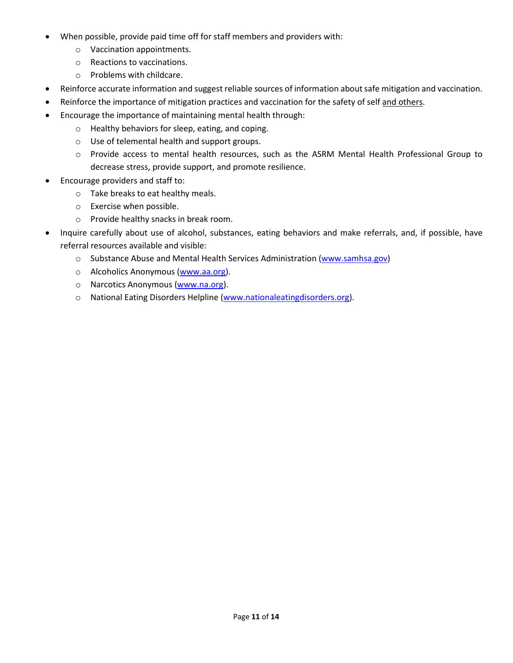- When possible, provide paid time off for staff members and providers with:
	- o Vaccination appointments.
	- o Reactions to vaccinations.
	- o Problems with childcare.
- Reinforce accurate information and suggest reliable sources of information about safe mitigation and vaccination.
- Reinforce the importance of mitigation practices and vaccination for the safety of self and others.
- Encourage the importance of maintaining mental health through:
	- o Healthy behaviors for sleep, eating, and coping.
	- o Use of telemental health and support groups.
	- o Provide access to mental health resources, such as the ASRM Mental Health Professional Group to decrease stress, provide support, and promote resilience.
- Encourage providers and staff to:
	- o Take breaks to eat healthy meals.
	- o Exercise when possible.
	- o Provide healthy snacks in break room.
- Inquire carefully about use of alcohol, substances, eating behaviors and make referrals, and, if possible, have referral resources available and visible:
	- o Substance Abuse and Mental Health Services Administration [\(www.samhsa.gov\)](http://www.samhsa.gov/)
	- o Alcoholics Anonymous [\(www.aa.org\)](http://www.aa.org/).
	- o Narcotics Anonymous [\(www.na.org\)](http://www.na.org/).
	- o National Eating Disorders Helpline [\(www.nationaleatingdisorders.org\)](http://www.nationaleatingdisorders.org/).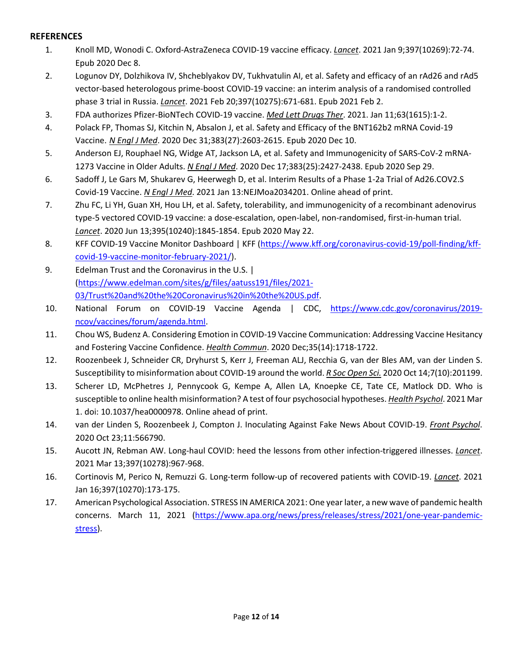### **REFERENCES**

- 1. Knoll MD, Wonodi C. Oxford-AstraZeneca COVID-19 vaccine efficacy. *Lancet*. 2021 Jan 9;397(10269):72-74. Epub 2020 Dec 8.
- 2. Logunov DY, Dolzhikova IV, Shcheblyakov DV, Tukhvatulin AI, et al. Safety and efficacy of an rAd26 and rAd5 vector-based heterologous prime-boost COVID-19 vaccine: an interim analysis of a randomised controlled phase 3 trial in Russia. *Lancet*. 2021 Feb 20;397(10275):671-681. Epub 2021 Feb 2.
- 3. FDA authorizes Pfizer-BioNTech COVID-19 vaccine. *Med Lett Drugs Ther*. 2021. Jan 11;63(1615):1-2.
- 4. Polack FP, Thomas SJ, Kitchin N, Absalon J, et al. Safety and Efficacy of the BNT162b2 mRNA Covid-19 Vaccine. *N Engl J Med*. 2020 Dec 31;383(27):2603-2615. Epub 2020 Dec 10.
- 5. Anderson EJ, Rouphael NG, Widge AT, Jackson LA, et al. Safety and Immunogenicity of SARS-CoV-2 mRNA-1273 Vaccine in Older Adults. *N Engl J Med*. 2020 Dec 17;383(25):2427-2438. Epub 2020 Sep 29.
- 6. Sadoff J, Le Gars M, Shukarev G, Heerwegh D, et al. Interim Results of a Phase 1-2a Trial of Ad26.COV2.S Covid-19 Vaccine. *N Engl J Med*. 2021 Jan 13:NEJMoa2034201. Online ahead of print.
- 7. Zhu FC, Li YH, Guan XH, Hou LH, et al. Safety, tolerability, and immunogenicity of a recombinant adenovirus type-5 vectored COVID-19 vaccine: a dose-escalation, open-label, non-randomised, first-in-human trial. *Lancet*. 2020 Jun 13;395(10240):1845-1854. Epub 2020 May 22.
- 8. KFF COVID-19 Vaccine Monitor Dashboard | KFF [\(https://www.kff.org/coronavirus-covid-19/poll-finding/kff](https://www.kff.org/coronavirus-covid-19/poll-finding/kff-covid-19-vaccine-monitor-february-2021/)[covid-19-vaccine-monitor-february-2021/\)](https://www.kff.org/coronavirus-covid-19/poll-finding/kff-covid-19-vaccine-monitor-february-2021/).
- 9. Edelman Trust and the Coronavirus in the U.S. | [\(https://www.edelman.com/sites/g/files/aatuss191/files/2021-](https://www.edelman.com/sites/g/files/aatuss191/files/2021-03/Trust%20and%20the%20Coronavirus%20in%20the%20US.pdf) [03/Trust%20and%20the%20Coronavirus%20in%20the%20US.pdf.](https://www.edelman.com/sites/g/files/aatuss191/files/2021-03/Trust%20and%20the%20Coronavirus%20in%20the%20US.pdf)
- 10. National Forum on COVID-19 Vaccine Agenda | CDC, [https://www.cdc.gov/coronavirus/2019](https://www.cdc.gov/coronavirus/2019-ncov/vaccines/forum/agenda.html) [ncov/vaccines/forum/agenda.html.](https://www.cdc.gov/coronavirus/2019-ncov/vaccines/forum/agenda.html)
- 11. Chou WS, Budenz A. Considering Emotion in COVID-19 Vaccine Communication: Addressing Vaccine Hesitancy and Fostering Vaccine Confidence. *Health Commun*. 2020 Dec;35(14):1718-1722.
- 12. Roozenbeek J, Schneider CR, Dryhurst S, Kerr J, Freeman ALJ, Recchia G, van der Bles AM, van der Linden S. Susceptibility to misinformation about COVID-19 around the world. *R Soc Open Sci.* 2020 Oct 14;7(10):201199.
- 13. Scherer LD, McPhetres J, Pennycook G, Kempe A, Allen LA, Knoepke CE, Tate CE, Matlock DD. Who is susceptible to online health misinformation? A test of four psychosocial hypotheses. *Health Psychol*. 2021 Mar 1. doi: 10.1037/hea0000978. Online ahead of print.
- 14. van der Linden S, Roozenbeek J, Compton J. Inoculating Against Fake News About COVID-19. *Front Psychol*. 2020 Oct 23;11:566790.
- 15. Aucott JN, Rebman AW. Long-haul COVID: heed the lessons from other infection-triggered illnesses. *Lancet*. 2021 Mar 13;397(10278):967-968.
- 16. Cortinovis M, Perico N, Remuzzi G. Long-term follow-up of recovered patients with COVID-19. *Lancet*. 2021 Jan 16;397(10270):173-175.
- 17. American Psychological Association. STRESS IN AMERICA 2021: One year later, a new wave of pandemic health concerns. March 11, 2021 [\(https://www.apa.org/news/press/releases/stress/2021/one-year-pandemic](https://www.apa.org/news/press/releases/stress/2021/one-year-pandemic-stress)[stress\)](https://www.apa.org/news/press/releases/stress/2021/one-year-pandemic-stress).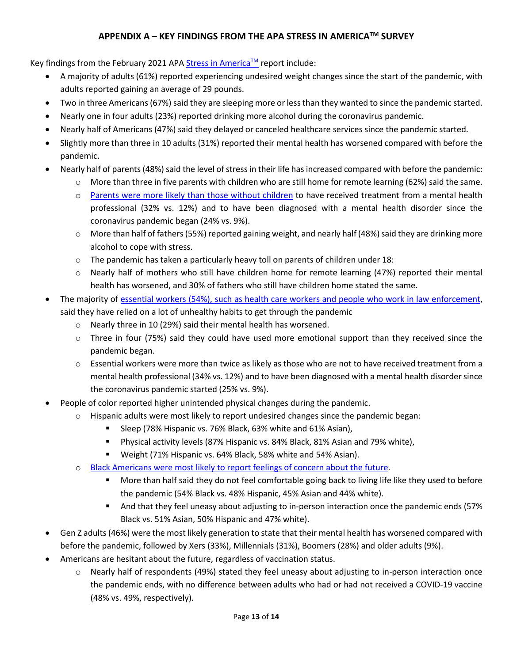# **APPENDIX A – KEY FINDINGS FROM THE APA STRESS IN AMERICATM SURVEY**

Key findings from the February 2021 APA Stress in America<sup>TM</sup> report include:

- A majority of adults (61%) reported experiencing undesired weight changes since the start of the pandemic, with adults reported gaining an average of 29 pounds.
- Two in three Americans (67%) said they are sleeping more or less than they wanted to since the pandemic started.
- Nearly one in four adults (23%) reported drinking more alcohol during the coronavirus pandemic.
- Nearly half of Americans (47%) said they delayed or canceled healthcare services since the pandemic started.
- Slightly more than three in 10 adults (31%) reported their mental health has worsened compared with before the pandemic.
- Nearly half of parents (48%) said the level of stress in their life has increased compared with before the pandemic:
	- $\circ$  More than three in five parents with children who are still home for remote learning (62%) said the same.
	- o [Parents were more likely than those without children](https://www.apa.org/news/press/releases/2021/03/march-parent-health) to have received treatment from a mental health professional (32% vs. 12%) and to have been diagnosed with a mental health disorder since the coronavirus pandemic began (24% vs. 9%).
	- $\circ$  More than half of fathers (55%) reported gaining weight, and nearly half (48%) said they are drinking more alcohol to cope with stress.
	- $\circ$  The pandemic has taken a particularly heavy toll on parents of children under 18:
	- $\circ$  Nearly half of mothers who still have children home for remote learning (47%) reported their mental health has worsened, and 30% of fathers who still have children home stated the same.
- The majority of [essential workers \(54%\), such as health care workers and people who work in law enforcement,](https://www.apa.org/news/press/releases/2021/03/march-essential-workers) said they have relied on a lot of unhealthy habits to get through the pandemic
	- o Nearly three in 10 (29%) said their mental health has worsened.
	- $\circ$  Three in four (75%) said they could have used more emotional support than they received since the pandemic began.
	- o Essential workers were more than twice as likely as those who are not to have received treatment from a mental health professional (34% vs. 12%) and to have been diagnosed with a mental health disorder since the coronavirus pandemic started (25% vs. 9%).
- People of color reported higher unintended physical changes during the pandemic.
	- $\circ$  Hispanic adults were most likely to report undesired changes since the pandemic began:
		- **Sleep (78% Hispanic vs. 76% Black, 63% white and 61% Asian),**
		- **Physical activity levels (87% Hispanic vs. 84% Black, 81% Asian and 79% white),**
		- Weight (71% Hispanic vs. 64% Black, 58% white and 54% Asian).
	- o Black Americans were most likely [to report feelings of concern about the future.](https://www.apa.org/news/press/releases/2021/03/march-people-of-color)
		- More than half said they do not feel comfortable going back to living life like they used to before the pandemic (54% Black vs. 48% Hispanic, 45% Asian and 44% white).
		- And that they feel uneasy about adjusting to in-person interaction once the pandemic ends (57% Black vs. 51% Asian, 50% Hispanic and 47% white).
- Gen Z adults (46%) were the most likely generation to state that their mental health has worsened compared with before the pandemic, followed by Xers (33%), Millennials (31%), Boomers (28%) and older adults (9%).
- Americans are hesitant about the future, regardless of vaccination status.
	- $\circ$  Nearly half of respondents (49%) stated they feel uneasy about adjusting to in-person interaction once the pandemic ends, with no difference between adults who had or had not received a COVID-19 vaccine (48% vs. 49%, respectively).